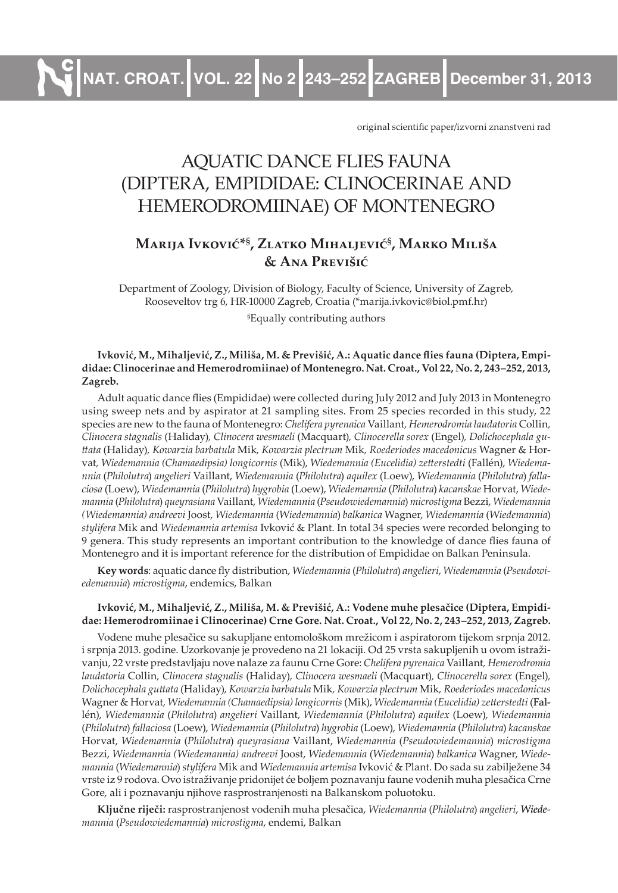**NAT. CROAT. VOL. 22 No 2 243–252 ZAGREB December 31, 2013**

original scientific paper/izvorni znanstveni rad

# AQUATIC DANCE FLIES FAUNA (DIPTERA, EMPIDIDAE: CLINOCERINAE AND HEMERODROMIINAE) OF MONTENEGRO

# **Marija Ivković\*§ , Zlatko Mihaljević§ , Marko Miliša & Ana Previšić**

Department of Zoology, Division of Biology, Faculty of Science, University of Zagreb, Rooseveltov trg 6, HR-10000 Zagreb, Croatia (\*marija.ivkovic@biol.pmf.hr) § Equally contributing authors

#### **Ivković, M., Mihaljević, Z., Miliša, M. & Previšić, A.: Aquatic dance flies fauna (Diptera, Empididae: Clinocerinae and Hemerodromiinae) of Montenegro. Nat. Croat., Vol 22, No. 2, 243–252, 2013, Zagreb.**

Adult aquatic dance flies (Empididae) were collected during July 2012 and July 2013 in Montenegro using sweep nets and by aspirator at 21 sampling sites. From 25 species recorded in this study, 22 species are new to the fauna of Montenegro: *Chelifera pyrenaica* Vaillant*, Hemerodromia laudatoria* Collin*, Clinocera stagnalis* (Haliday)*, Clinocera wesmaeli* (Macquart)*, Clinocerella sorex* (Engel)*, Dolichocephala gu� ttata* (Haliday)*, Kowarzia barbatula* Mik*, Kowarzia plectrum* Mik*, Roederiodes macedonicus* Wagner & Horvat*, Wiedemannia (Chamaedipsia) longicornis* (Mik), *Wiedemannia (Eucelidia) zetterstedti* (Fallén), *Wiedema� nnia* (*Philolutra*) *angelieri* Vaillant, *Wiedemannia* (*Philolutra*) *aquilex* (Loew), *Wiedemannia* (*Philolutra*) *falla� ciosa* (Loew), *Wiedemannia* (*Philolutra*) *hygrobia* (Loew), *Wiedemannia* (*Philolutra*) *kacanskae* Horvat, *Wiede� mannia* (*Philolutra*) *queyrasiana* Vaillant, *Wiedemannia* (*Pseudowiedemannia*) *microstigma* Bezzi, *Wiedemannia (Wiedemannia) andreevi* Joost, *Wiedemannia* (*Wiedemannia*) *balkanica* Wagner, *Wiedemannia* (*Wiedemannia*) *stylifera* Mik and *Wiedemannia artemisa* Ivković & Plant. In total 34 species were recorded belonging to 9 genera. This study represents an important contribution to the knowledge of dance flies fauna of Montenegro and it is important reference for the distribution of Empididae on Balkan Peninsula.

**Key words**: aquatic dance fly distribution, *Wiedemannia* (*Philolutra*) *angelieri*, *Wiedemannia* (*Pseudowi� edemannia*) *microstigma*, endemics, Balkan

#### **Ivković, M., Mihaljević, Z., Miliša, M. & Previšić, A.: Vodene muhe plesačice (Diptera, Empididae: Hemerodromiinae i Clinocerinae) Crne Gore. Nat. Croat., Vol 22, No. 2, 243–252, 2013, Zagreb.**

Vodene muhe plesačice su sakupljane entomološkom mrežicom i aspiratorom tijekom srpnja 2012. i srpnja 2013. godine. Uzorkovanje je provedeno na 21 lokaciji. Od 25 vrsta sakupljenih u ovom istraživanju, 22 vrste predstavljaju nove nalaze za faunu Crne Gore: *Chelifera pyrenaica* Vaillant*, Hemerodromia laudatoria* Collin*, Clinocera stagnalis* (Haliday)*, Clinocera wesmaeli* (Macquart)*, Clinocerella sorex* (Engel)*, Dolichocephala guttata* (Haliday)*, Kowarzia barbatula* Mik*, Kowarzia plectrum* Mik*, Roederiodes macedonicus* Wagner & Horvat*, Wiedemannia (Chamaedipsia) longicornis* (Mik), *Wiedemannia (Eucelidia) zetterstedti* (Fallén), *Wiedemannia* (*Philolutra*) *angelieri* Vaillant, *Wiedemannia* (*Philolutra*) *aquilex* (Loew), *Wiedemannia* (*Philolutra*) *fallaciosa* (Loew), *Wiedemannia* (*Philolutra*) *hygrobia* (Loew), *Wiedemannia* (*Philolutra*) *kacanskae* Horvat, *Wiedemannia* (*Philolutra*) *queyrasiana* Vaillant, *Wiedemannia* (*Pseudowiedemannia*) *microstigma* Bezzi, Wiedemannia (Wiedemannia) andreevi Joost, Wiedemannia (Wiedemannia) balkanica Wagner, Wiede*mannia* (*Wiedemannia*) *stylifera* Mik and *Wiedemannia artemisa* Ivković & Plant. Do sada su zabilježene 34 vrste iz 9 rodova. Ovo istraživanje pridonijet će boljem poznavanju faune vodenih muha plesačica Crne Gore, ali i poznavanju njihove rasprostranjenosti na Balkanskom poluotoku.

**Ključne riječi:** rasprostranjenost vodenih muha plesačica, *Wiedemannia* (*Philolutra*) *angelieri*, *� mannia* (*Pseudowiedemannia*) *microstigma*, endemi, Balkan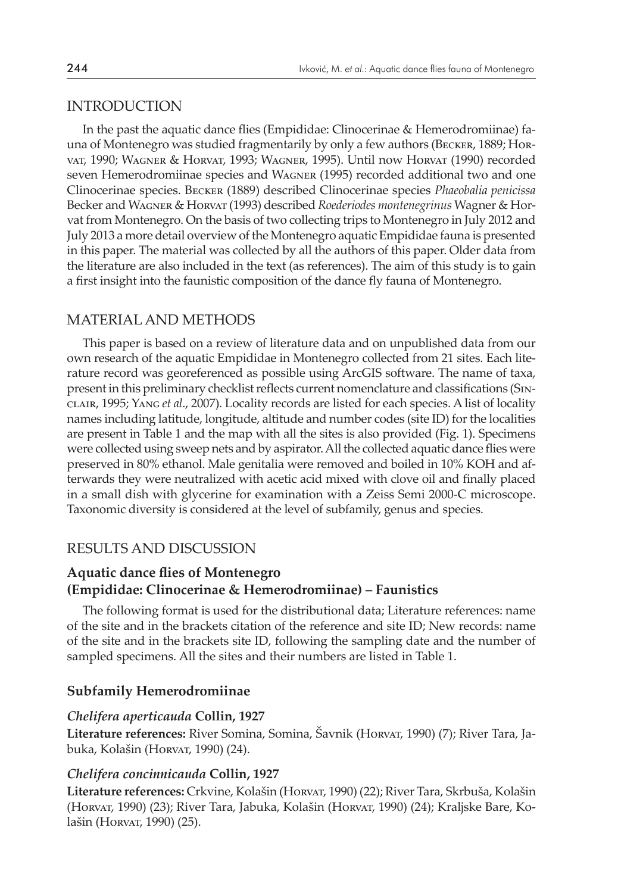#### INTRODUCTION

In the past the aquatic dance flies (Empididae: Clinocerinae & Hemerodromiinae) fauna of Montenegro was studied fragmentarily by only a few authors (Becker, 1889; Horvat, 1990; Wagner & Horvat, 1993; Wagner, 1995). Until now Horvat (1990) recorded seven Hemerodromiinae species and Wagner (1995) recorded additional two and one Clinocerinae species. Becker (1889) described Clinocerinae species *Phaeobalia penicissa* Becker and Wagner & Horvat (1993) described *Roederiodes montenegrinus* Wagner & Horvat from Montenegro. On the basis of two collecting trips to Montenegro in July 2012 and July 2013 a more detail overview of the Montenegro aquatic Empididae fauna is presented in this paper. The material was collected by all the authors of this paper. Older data from the literature are also included in the text (as references). The aim of this study is to gain a first insight into the faunistic composition of the dance fly fauna of Montenegro.

#### MATERIAL AND METHODS

This paper is based on a review of literature data and on unpublished data from our own research of the aquatic Empididae in Montenegro collected from 21 sites. Each literature record was georeferenced as possible using ArcGIS software. The name of taxa, present in this preliminary checklist reflects current nomenclature and classifications (Sinclair, 1995; Yang *et al*., 2007). Locality records are listed for each species. A list of locality names including latitude, longitude, altitude and number codes (site ID) for the localities are present in Table 1 and the map with all the sites is also provided (Fig. 1). Specimens were collected using sweep nets and by aspirator. All the collected aquatic dance flies were preserved in 80% ethanol. Male genitalia were removed and boiled in 10% KOH and afterwards they were neutralized with acetic acid mixed with clove oil and finally placed in a small dish with glycerine for examination with a Zeiss Semi 2000-C microscope. Taxonomic diversity is considered at the level of subfamily, genus and species.

#### RESULTS AND DISCUSSION

#### **Aquatic dance flies of Montenegro (Empididae: Clinocerinae & Hemerodromiinae) – Faunistics**

The following format is used for the distributional data; Literature references: name of the site and in the brackets citation of the reference and site ID; New records: name of the site and in the brackets site ID, following the sampling date and the number of sampled specimens. All the sites and their numbers are listed in Table 1.

#### **Subfamily Hemerodromiinae**

#### *Chelifera aperticauda* **Collin, 1927**

**Literature references:** River Somina, Somina, Šavnik (Horvat, 1990) (7); River Tara, Jabuka, Kolašin (Horvat, 1990) (24).

#### *Chelifera concinnicauda* **Collin, 1927**

**Literature references:** Crkvine, Kolašin (Horvat, 1990) (22); River Tara, Skrbuša, Kolašin (Horvat, 1990) (23); River Tara, Jabuka, Kolašin (Horvat, 1990) (24); Kraljske Bare, Kolašin (Horvat, 1990) (25).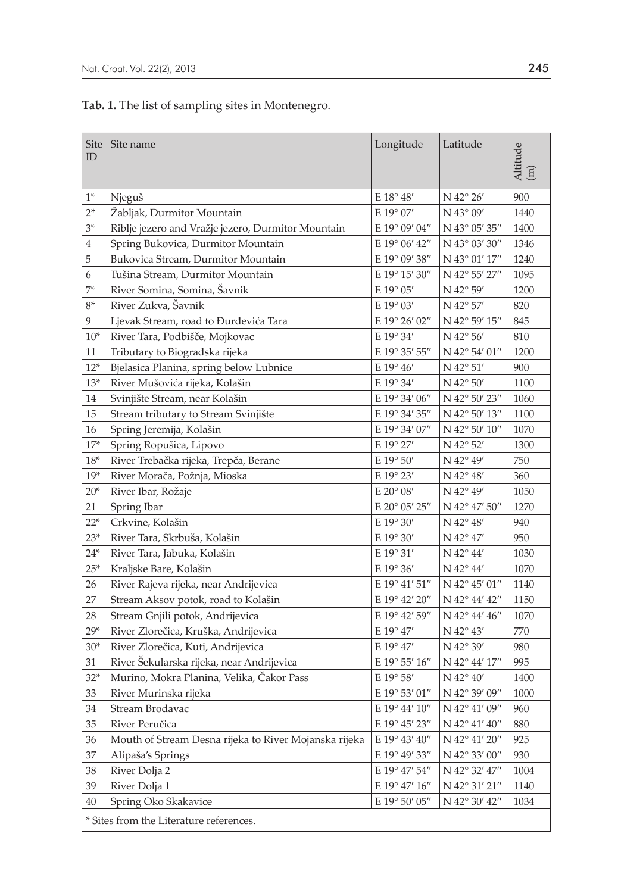# **Tab. 1.** The list of sampling sites in Montenegro.

| Site<br>ID                              | Site name                                             | Longitude          | Latitude                                               | Altitude<br>$\left(\overline{\mathbf{H}}\right)$ |
|-----------------------------------------|-------------------------------------------------------|--------------------|--------------------------------------------------------|--------------------------------------------------|
| $1*$                                    | Njeguš                                                | $E 18^{\circ} 48'$ | $N$ 42° 26′                                            | 900                                              |
| $2*$                                    | Žabljak, Durmitor Mountain                            | E 19° 07'          | N 43° 09'                                              | 1440                                             |
| $3*$                                    | Riblje jezero and Vražje jezero, Durmitor Mountain    | E 19° 09' 04"      | N 43° 05' 35"                                          | 1400                                             |
| 4                                       | Spring Bukovica, Durmitor Mountain                    | E 19° 06' 42"      | N 43° 03' 30"                                          | 1346                                             |
| 5                                       | Bukovica Stream, Durmitor Mountain                    | E 19° 09' 38"      | N 43° 01' 17"                                          | 1240                                             |
| 6                                       | Tušina Stream, Durmitor Mountain                      | E 19° 15' 30"      | N 42° 55' 27"                                          | 1095                                             |
| $7*$                                    | River Somina, Somina, Šavnik                          | E 19° 05'          | N 42° 59'                                              | 1200                                             |
| $8*$                                    | River Zukva, Šavnik                                   | E 19° 03'          | N 42° 57'                                              | 820                                              |
| 9                                       | Ljevak Stream, road to Đurđevića Tara                 | E 19° 26' 02"      | N 42° 59' 15"                                          | 845                                              |
| $10*$                                   | River Tara, Podbišče, Mojkovac                        | E 19° 34'          | $N$ 42 $\degree$ 56'                                   | 810                                              |
| 11                                      | Tributary to Biogradska rijeka                        | E 19° 35' 55"      | N 42° 54' 01"                                          | 1200                                             |
| $12*$                                   | Bjelasica Planina, spring below Lubnice               | E 19° 46'          | $\rm N$ 42° 51′                                        | 900                                              |
| $13*$                                   | River Mušovića rijeka, Kolašin                        | E 19° 34'          | $N$ 42 $\degree$ 50'                                   | 1100                                             |
| 14                                      | Svinjište Stream, near Kolašin                        | E 19° 34' 06"      | N 42° 50' 23"                                          | 1060                                             |
| 15                                      | Stream tributary to Stream Svinjište                  | E 19° 34' 35"      | N 42° 50' 13"                                          | 1100                                             |
| 16                                      | Spring Jeremija, Kolašin                              | E 19° 34' 07"      | N 42° 50' 10"                                          | 1070                                             |
| $17*$                                   | Spring Ropušica, Lipovo                               | E 19° 27'          | N 42° 52'                                              | 1300                                             |
| $18*$                                   | River Trebačka rijeka, Trepča, Berane                 | E 19° 50'          | N 42° 49'                                              | 750                                              |
| $19*$                                   | River Morača, Požnja, Mioska                          | E 19° 23'          | $N$ 42° 48′                                            | 360                                              |
| $20*$                                   | River Ibar, Rožaje                                    | E 20° 08'          | N 42° 49'                                              | 1050                                             |
| 21                                      | Spring Ibar                                           | E 20° 05' 25"      | N 42° 47' 50"                                          | 1270                                             |
| $22*$                                   | Crkvine, Kolašin                                      | E 19° 30'          | N 42° 48'                                              | 940                                              |
| $23*$                                   | River Tara, Skrbuša, Kolašin                          | E 19° 30'          | N 42° 47'                                              | 950                                              |
| $24*$                                   | River Tara, Jabuka, Kolašin                           | E 19° 31'          | $N$ 42° 44'                                            | 1030                                             |
| $25*$                                   | Kraljske Bare, Kolašin                                | E 19° 36'          | N 42° 44'                                              | 1070                                             |
| 26                                      | River Rajeva rijeka, near Andrijevica                 | E 19° 41' 51"      | $N$ 42° 45' 01"                                        | 1140                                             |
| 27                                      | Stream Aksov potok, road to Kolašin                   | E 19° 42' 20"      | N 42° 44' 42"                                          | 1150                                             |
| 28                                      | Stream Gnjili potok, Andrijevica                      | E 19° 42' 59"      | N 42° 44' 46"                                          | 1070                                             |
| $29*$                                   | River Zlorečica, Kruška, Andrijevica                  | E 19° 47'          | N 42° 43'                                              | 770                                              |
| $30*$                                   | River Zlorečica, Kuti, Andrijevica                    | E 19° 47'          | N 42° 39'                                              | 980                                              |
| 31                                      | River Šekularska rijeka, near Andrijevica             | E 19° 55' 16"      | N 42° 44' 17"                                          | 995                                              |
| $32*$                                   | Murino, Mokra Planina, Velika, Čakor Pass             | E 19° 58'          | $N$ 42° 40'                                            | 1400                                             |
| 33                                      | River Murinska rijeka                                 | E 19° 53' 01"      | N 42° 39' 09"                                          | 1000                                             |
| 34                                      | Stream Brodavac                                       | E 19° 44' 10"      | N 42° 41' 09"                                          | 960                                              |
| 35                                      | River Peručica                                        | E 19° 45' 23"      | N 42° 41' 40"                                          | 880                                              |
| 36                                      | Mouth of Stream Desna rijeka to River Mojanska rijeka | E 19° 43' 40"      | N 42° 41' 20"                                          | 925                                              |
| 37                                      | Alipaša's Springs                                     | E 19° 49' 33"      | N 42° 33' 00"                                          | 930                                              |
| 38                                      | River Dolja 2                                         | E 19° 47' 54"      | $\rm N$ $42^{\circ}$ $32^{\prime}$ $47^{\prime\prime}$ | 1004                                             |
| 39                                      | River Dolja 1                                         | E 19° 47' 16"      | N 42° 31' 21"                                          | 1140                                             |
| 40                                      | Spring Oko Skakavice                                  | E 19° 50' 05"      | N 42° 30' 42"                                          | 1034                                             |
| * Sites from the Literature references. |                                                       |                    |                                                        |                                                  |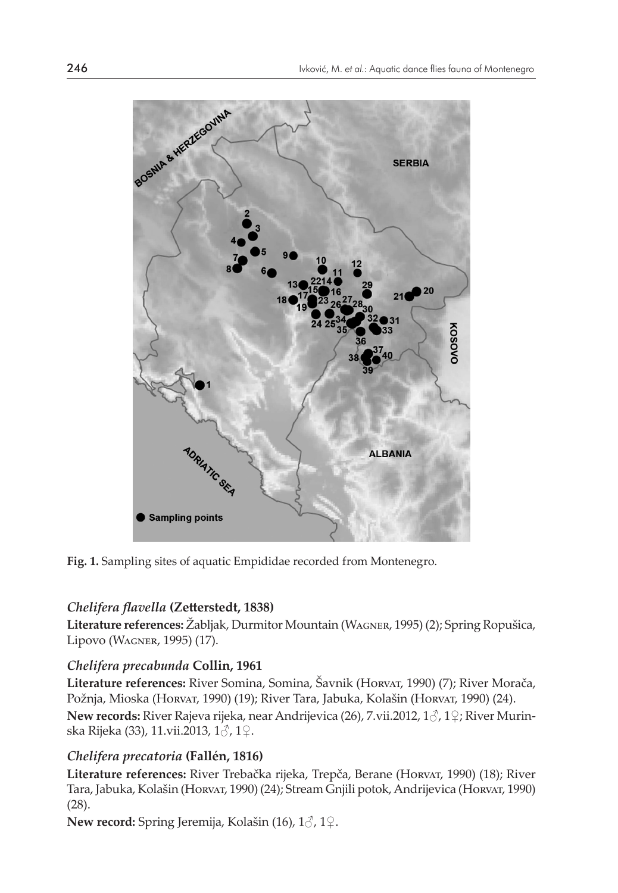

**Fig. 1.** Sampling sites of aquatic Empididae recorded from Montenegro.

# *Chelifera flavella* **(Zetterstedt, 1838)**

**Literature references:** Žabljak, Durmitor Mountain (Wagner, 1995) (2); Spring Ropušica, Lipovo (Wagner, 1995) (17).

# *Chelifera precabunda* **Collin, 1961**

**Literature references:** River Somina, Somina, Šavnik (Horvat, 1990) (7); River Morača, Požnja, Mioska (Horvar, 1990) (19); River Tara, Jabuka, Kolašin (Horvar, 1990) (24). **New records:** River Rajeva rijeka, near Andrijevica (26), 7.vii.2012, 1♂, 1♀; River Murinska Rijeka (33), 11.vii.2013, 1♂, 1♀.

# *Chelifera precatoria* **(Fallén, 1816)**

**Literature references:** River Trebačka rijeka, Trepča, Berane (Horvat, 1990) (18); River Tara, Jabuka, Kolašin (Horvat, 1990) (24); Stream Gnjili potok, Andrijevica (Horvat, 1990) (28).

**New record:** Spring Jeremija, Kolašin (16), 1♂, 1♀.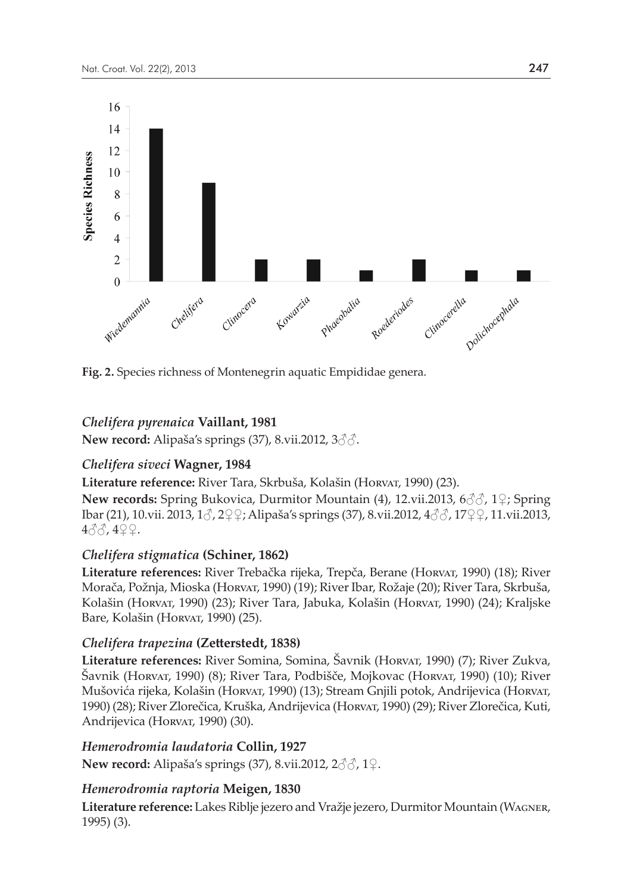

**Fig. 2.** Species richness of Montenegrin aquatic Empididae genera.

# *Chelifera pyrenaica* **Vaillant, 1981**

**New record:** Alipaša's springs (37), 8.vii.2012, 3♂♂.

# *Chelifera siveci* **Wagner, 1984**

**Literature reference:** River Tara, Skrbuša, Kolašin (Horvat, 1990) (23).

**New records:** Spring Bukovica, Durmitor Mountain (4), 12.vii.2013, 6♂♂, 1♀; Spring Ibar (21), 10.vii. 2013, 1♂, 2♀♀; Alipaša's springs (37), 8.vii.2012, 4♂♂, 17♀♀, 11.vii.2013, 4♂♂, 4♀♀.

# *Chelifera stigmatica* **(Schiner, 1862)**

**Literature references:** River Trebačka rijeka, Trepča, Berane (Horvat, 1990) (18); River Morača, Požnja, Mioska (Horvat, 1990) (19); River Ibar, Rožaje (20); River Tara, Skrbuša, Kolašin (Horvat, 1990) (23); River Tara, Jabuka, Kolašin (Horvat, 1990) (24); Kraljske Bare, Kolašin (Horvar, 1990) (25).

# *Chelifera trapezina* **(Zetterstedt, 1838)**

**Literature references:** River Somina, Somina, Šavnik (Horvat, 1990) (7); River Zukva, Šavnik (Horvat, 1990) (8); River Tara, Podbišče, Mojkovac (Horvat, 1990) (10); River Mušovića rijeka, Kolašin (Horvat, 1990) (13); Stream Gnjili potok, Andrijevica (Horvat, 1990) (28); River Zlorečica, Kruška, Andrijevica (Horvat, 1990) (29); River Zlorečica, Kuti, Andrijevica (Horvar, 1990) (30).

# *Hemerodromia laudatoria* **Collin, 1927**

**New record:** Alipaša's springs (37), 8.vii.2012, 2♂♂, 1♀.

# *Hemerodromia raptoria* **Meigen, 1830**

**Literature reference:** Lakes Riblje jezero and Vražje jezero, Durmitor Mountain (Wagner, 1995) (3).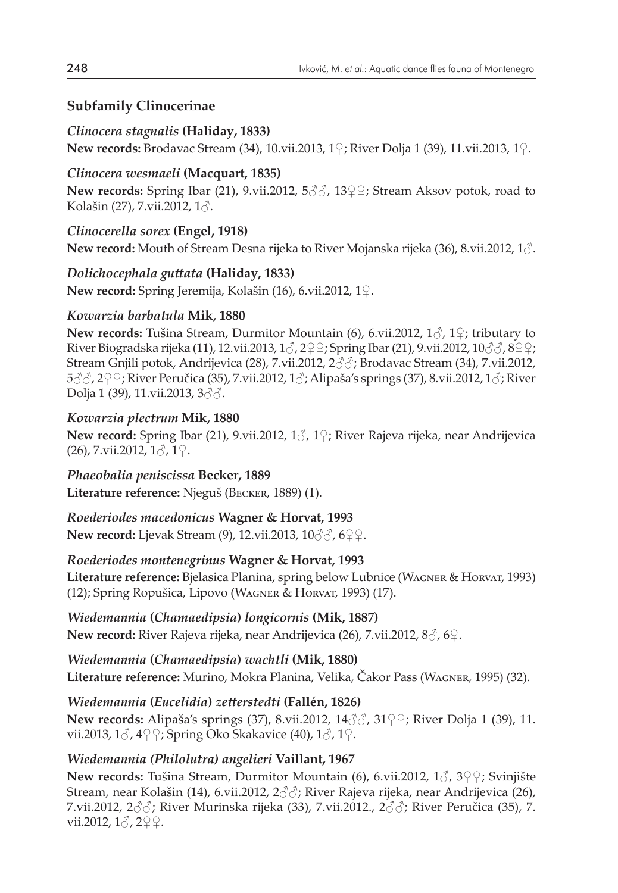# **Subfamily Clinocerinae**

# *Clinocera stagnalis* **(Haliday, 1833)**

**New records:** Brodavac Stream (34), 10.vii.2013, 1♀; River Dolja 1 (39), 11.vii.2013, 1♀.

# *Clinocera wesmaeli* **(Macquart, 1835)**

**New records:** Spring Ibar (21), 9.vii.2012, 5♂♂, 13♀♀; Stream Aksov potok, road to Kolašin (27), 7.vii.2012, 1♂.

# *Clinocerella sorex* **(Engel, 1918)**

**New record:** Mouth of Stream Desna rijeka to River Mojanska rijeka (36), 8.vii.2012, 1♂.

# *Dolichocephala guttata* **(Haliday, 1833)**

**New record:** Spring Jeremija, Kolašin (16), 6.vii.2012, 1♀.

# *Kowarzia barbatula* **Mik, 1880**

**New records:** Tušina Stream, Durmitor Mountain (6), 6.vii.2012, 1♂, 1♀; tributary to River Biogradska rijeka (11), 12.vii.2013,  $1\sigma$ ,  $2\sigma$ ?; Spring Ibar (21), 9.vii.2012,  $10\sigma$  $\sigma$ ,  $8\sigma$ ?; Stream Gnjili potok, Andrijevica (28), 7.vii.2012, 2♂♂; Brodavac Stream (34), 7.vii.2012, 5♂ 22 ° ; River Peručica (35), 7.vii.2012, 1 3; Alipaša's springs (37), 8.vii.2012, 1 3; River Dolja 1 (39), 11.vii.2013, 3♂♂.

# *Kowarzia plectrum* **Mik, 1880**

**New record:** Spring Ibar (21), 9.vii.2012, 1♂, 1♀; River Rajeva rijeka, near Andrijevica  $(26)$ , 7.vii.2012,  $1\delta$ ,  $1\Omega$ .

*Phaeobalia peniscissa* **Becker, 1889 Literature reference:** Njeguš (Becker, 1889) (1).

# *Roederiodes macedonicus* **Wagner & Horvat, 1993**

**New record:** Ljevak Stream (9), 12.vii.2013, 10♂♂, 6♀♀.

# *Roederiodes montenegrinus* **Wagner & Horvat, 1993**

**Literature reference:** Bjelasica Planina, spring below Lubnice (Wagner & Horvat, 1993) (12); Spring Ropušica, Lipovo (Wagner & Horvat, 1993) (17).

*Wiedemannia* **(***Chamaedipsia***)** *longicornis* **(Mik, 1887) New record:** River Rajeva rijeka, near Andrijevica (26), 7.vii.2012, 8♂, 6♀.

# *Wiedemannia* **(***Chamaedipsia***)** *wachtli* **(Mik, 1880)**

**Literature reference:** Murino, Mokra Planina, Velika, Čakor Pass (Wagner, 1995) (32).

# *Wiedemannia* **(***Eucelidia***)** *zetterstedti* **(Fallén, 1826)**

**New records:** Alipaša's springs (37), 8.vii.2012, 14♂♂, 31♀♀; River Dolja 1 (39), 11. vii.2013,  $1\delta$ ,  $4\frac{1}{2}\epsilon$ ; Spring Oko Skakavice (40),  $1\delta$ ,  $1\epsilon$ .

# *Wiedemannia (Philolutra) angelieri* **Vaillant, 1967**

**New records:** Tušina Stream, Durmitor Mountain (6), 6.vii.2012, 1♂, 3♀♀; Svinjište Stream, near Kolašin (14), 6.vii.2012, 2♂♂; River Rajeva rijeka, near Andrijevica (26), 7.vii.2012,  $2\Im\Im$ ; River Murinska rijeka (33), 7.vii.2012.,  $2\Im\Im$ ; River Peručica (35), 7. vii.2012,  $1\delta$ ,  $2\Omega$ .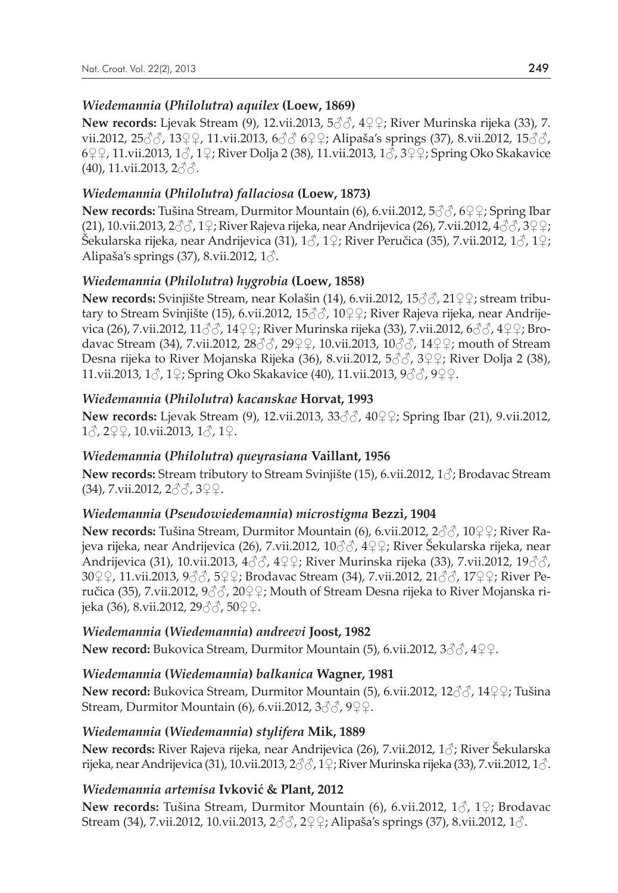#### *Wiedemannia* **(***Philolutra***)** *aquilex* **(Loew, 1869)**

**New records:** Ljevak Stream (9), 12.vii.2013, 5♂♂, 4♀♀; River Murinska rijeka (33), 7. vii.2012, 25 3, 3 3 Ω + 11.vii.2013, 6 3 6 2 Ω + Alipaša's springs (37), 8.vii.2012, 15 3 3, 6♀♀, 11.vii.2013, 1♂, 1♀; River Dolja 2 (38), 11.vii.2013, 1♂, 3♀♀; Spring Oko Skakavice  $(40)$ , 11.vii.2013, 2 $\partial$  $\partial$ .

### *Wiedemannia* **(***Philolutra***)** *fallaciosa* **(Loew, 1873)**

**New records:** Tušina Stream, Durmitor Mountain (6), 6.vii.2012, 5♂♂, 6♀♀; Spring Ibar (21), 10.vii.2013,  $2\text{d}$ ,  $2\text{d}$ ; River Rajeva rijeka, near Andrijevica (26), 7.vii.2012,  $4\text{d}$ ,  $3\text{d}$ Šekularska rijeka, near Andrijevica (31),  $1\textdegree$ , 1 $\textdegree$ ; River Peručica (35), 7.vii.2012,  $1\textdegree$ ,  $1\textdegree$ ; Alipaša's springs (37), 8.vii.2012, 1♂.

### *Wiedemannia* **(***Philolutra***)** *hygrobia* **(Loew, 1858)**

**New records:** Svinjište Stream, near Kolašin (14), 6.vii.2012, 15♂ ∂, 21♀ ?; stream tributary to Stream Svinjište (15), 6.vii.2012, 15♂♂, 10♀♀; River Rajeva rijeka, near Andrijevica (26), 7.vii.2012, 11♂♂, 14♀♀; River Murinska rijeka (33), 7.vii.2012, 6♂♂, 4♀♀; Brodavac Stream (34), 7.vii.2012, 28♂♂, 29♀♀, 10.vii.2013, 10♂♂, 14♀♀; mouth of Stream Desna rijeka to River Mojanska Rijeka (36), 8.vii.2012, 5♂♂, 3♀♀; River Dolja 2 (38), 11.vii.2013, 1♂, 1♀; Spring Oko Skakavice (40), 11.vii.2013, 9♂♂, 9♀♀.

### *Wiedemannia* **(***Philolutra***)** *kacanskae* **Horvat, 1993**

**New records:** Ljevak Stream (9), 12.vii.2013, 33♂♂, 40♀♀; Spring Ibar (21), 9.vii.2012, 1♂, 2♀♀, 10.vii.2013, 1♂, 1♀.

#### *Wiedemannia* **(***Philolutra***)** *queyrasiana* **Vaillant, 1956**

**New records:** Stream tributory to Stream Svinjište (15), 6.vii.2012, 1♂; Brodavac Stream (34), 7.vii.2012, 2♂♂, 3♀♀.

#### *Wiedemannia* **(***Pseudowiedemannia***)** *microstigma* **Bezzi, 1904**

**New records:** Tušina Stream, Durmitor Mountain (6), 6.vii.2012, 2♂♂, 10♀♀; River Rajeva rijeka, near Andrijevica (26), 7.vii.2012, 10♂♂, 4♀♀; River Šekularska rijeka, near Andrijevica (31), 10.vii.2013, 4♂♂, 4♀♀; River Murinska rijeka (33), 7.vii.2012, 19♂♂, 30♀♀, 11.vii.2013, 9♂♂, 5♀♀; Brodavac Stream (34), 7.vii.2012, 21♂♂, 17♀♀; River Peručica (35), 7.vii.2012,  $9\textdegree\textdegree\textdegree\textdegree\textdegree\textdegree\textdegree\textdegree$  Mouth of Stream Desna rijeka to River Mojanska rijeka (36), 8.vii.2012, 29♂♂, 50♀♀.

#### *Wiedemannia* **(***Wiedemannia***)** *andreevi* **Joost, 1982**

**New record:** Bukovica Stream, Durmitor Mountain (5), 6.vii.2012, 3♂♂, 4♀♀.

# *Wiedemannia* **(***Wiedemannia***)** *balkanica* **Wagner, 1981**

**New record:** Bukovica Stream, Durmitor Mountain (5), 6.vii.2012, 12♂♂, 14♀♀; Tušina Stream, Durmitor Mountain (6), 6.vii.2012,  $3\text{d}\text{d}$ ,  $9\text{d}\text{d}$ .

#### *Wiedemannia* **(***Wiedemannia***)** *stylifera* **Mik, 1889**

**New records:** River Rajeva rijeka, near Andrijevica (26), 7.vii.2012, 1♂; River Šekularska rijeka, near Andrijevica (31), 10.vii.2013,  $2\text{d}$ ,  $1\text{)}$ ; River Murinska rijeka (33), 7.vii.2012,  $1\text{d}$ .

# *Wiedemannia artemisa* **Ivković & Plant, 2012**

**New records:** Tušina Stream, Durmitor Mountain (6), 6.vii.2012, 1♂, 1♀; Brodavac Stream (34), 7.vii.2012, 10.vii.2013, 2♂♂, 2♀♀; Alipaša's springs (37), 8.vii.2012, 1♂.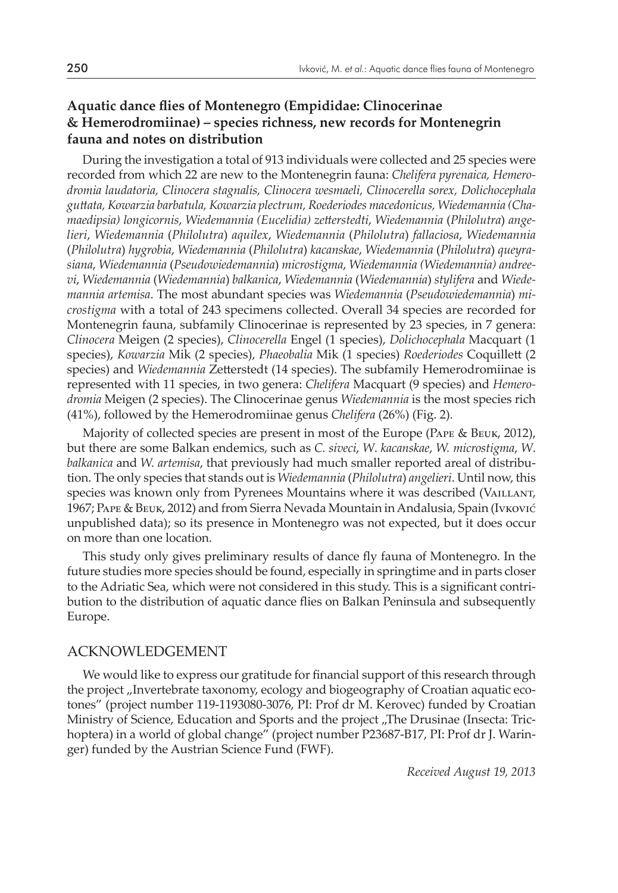# **Aquatic dance flies of Montenegro (Empididae: Clinocerinae & Hemerodromiinae) – species richness, new records for Montenegrin fauna and notes on distribution**

During the investigation a total of 913 individuals were collected and 25 species were recorded from which 22 are new to the Montenegrin fauna: *Chelifera pyrenaica, Hemero� dromia laudatoria, Clinocera stagnalis, Clinocera wesmaeli, Clinocerella sorex, Dolichocephala guttata, Kowarzia barbatula, Kowarzia plectrum, Roederiodes macedonicus, Wiedemannia (Cha� maedipsia) longicornis*, *Wiedemannia (Eucelidia) zetterstedti*, *Wiedemannia* (*Philolutra*) *ange� lieri*, *Wiedemannia* (*Philolutra*) *aquilex*, *Wiedemannia* (*Philolutra*) *fallaciosa*, *Wiedemannia*  (*Philolutra*) *hygrobia*, *Wiedemannia* (*Philolutra*) *kacanskae*, *Wiedemannia* (*Philolutra*) *queyra� siana*, *Wiedemannia* (*Pseudowiedemannia*) *microstigma*, *Wiedemannia (Wiedemannia) andree�*  $vi$ , *Wiedemannia* (*Wiedemannia*) *balkanica*, *Wiedemannia* (*Wiedemannia*) *stylifera* and *Wiedemannia artemisa*. The most abundant species was *Wiedemannia* (*Pseudowiedemannia*) *mi� crostigma* with a total of 243 specimens collected. Overall 34 species are recorded for Montenegrin fauna, subfamily Clinocerinae is represented by 23 species, in 7 genera: *Clinocera* Meigen (2 species), *Clinocerella* Engel (1 species), *Dolichocephala* Macquart (1 species), *Kowarzia* Mik (2 species), *Phaeobalia* Mik (1 species) *Roederiodes* Coquillett (2 species) and *Wiedemannia* Zetterstedt (14 species). The subfamily Hemerodromiinae is represented with 11 species, in two genera: *Chelifera* Macquart (9 species) and *Hemero� dromia* Meigen (2 species). The Clinocerinae genus *Wiedemannia* is the most species rich (41%), followed by the Hemerodromiinae genus *Chelifera* (26%) (Fig. 2).

Majority of collected species are present in most of the Europe (Pape & Beuk, 2012), but there are some Balkan endemics, such as *C. siveci*, *W*. *kacanskae*, *W. microstigma*, *W*. *balkanica* and *W. artemisa*, that previously had much smaller reported areal of distribution. The only species that stands out is *Wiedemannia* (*Philolutra*) *angelieri*. Until now, this species was known only from Pyrenees Mountains where it was described (VAILLANT, 1967; Pape & Beuk, 2012) and from Sierra Nevada Mountain in Andalusia, Spain (Ivković unpublished data); so its presence in Montenegro was not expected, but it does occur on more than one location.

This study only gives preliminary results of dance fly fauna of Montenegro. In the future studies more species should be found, especially in springtime and in parts closer to the Adriatic Sea, which were not considered in this study. This is a significant contribution to the distribution of aquatic dance flies on Balkan Peninsula and subsequently Europe.

#### ACKNOWLEDGEMENT

We would like to express our gratitude for financial support of this research through the project "Invertebrate taxonomy, ecology and biogeography of Croatian aquatic ecotones" (project number 119-1193080-3076, PI: Prof dr M. Kerovec) funded by Croatian Ministry of Science, Education and Sports and the project "The Drusinae (Insecta: Trichoptera) in a world of global change" (project number P23687-B17, PI: Prof dr J. Waringer) funded by the Austrian Science Fund (FWF).

*Received August 19, 2013*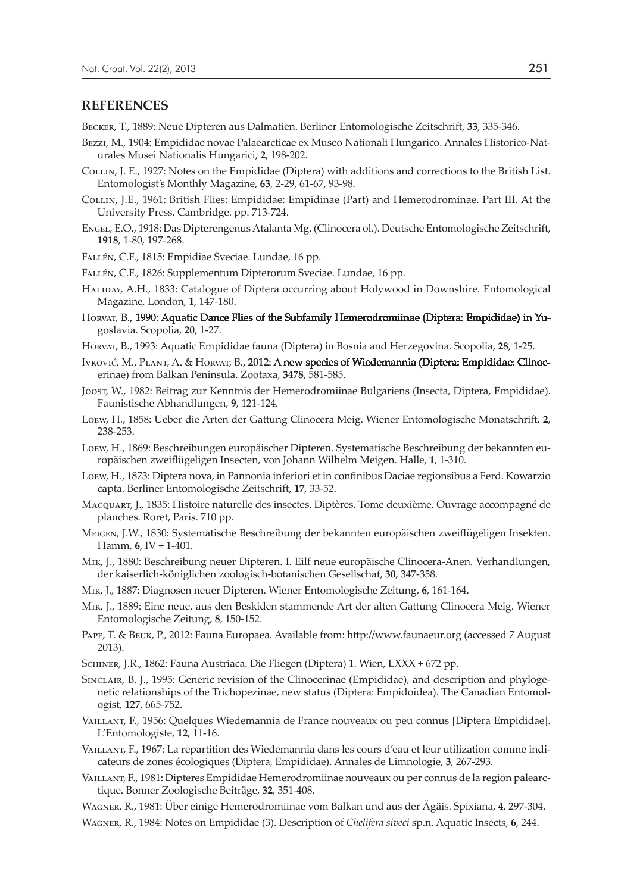#### **REFERENCES**

Becker, T., 1889: Neue Dipteren aus Dalmatien. Berliner Entomologische Zeitschrift, **33**, 335-346.

- Bezzi, M., 1904: Empididae novae Palaearcticae ex Museo Nationali Hungarico. Annales Historico-Naturales Musei Nationalis Hungarici, **2**, 198-202.
- Collin, J. E., 1927: Notes on the Empididae (Diptera) with additions and corrections to the British List. Entomologist's Monthly Magazine, **63**, 2-29, 61-67, 93-98.
- Collin, J.E., 1961: British Flies: Empididae: Empidinae (Part) and Hemerodrominae. Part III. At the University Press, Cambridge. pp. 713-724.
- Engel, E.O., 1918: Das Dipterengenus Atalanta Mg. (Clinocera ol.). Deutsche Entomologische Zeitschrift, **1918**, 1-80, 197-268.

Fallén, C.F., 1815: Empidiae Sveciae. Lundae, 16 pp.

- Fallén, C.F., 1826: Supplementum Dipterorum Sveciae. Lundae, 16 pp.
- Haliday, A.H., 1833: Catalogue of Diptera occurring about Holywood in Downshire. Entomological Magazine, London, **1**, 147-180.
- Horvat, B., 1990: Aquatic Dance Flies of the Subfamily Hemerodromiinae (Diptera: Empididae) in Yugoslavia. Scopolia, **20**, 1-27.
- Horvat, B., 1993: Aquatic Empididae fauna (Diptera) in Bosnia and Herzegovina. Scopolia, **28**, 1-25.
- Ivković, M., PLANT, A. & Horvat, B., 2012: A new species of Wiedemannia (Diptera: Empididae: Clinocerinae) from Balkan Peninsula. Zootaxa, **3478**, 581-585.
- Joost, W., 1982: Beitrag zur Kenntnis der Hemerodromiinae Bulgariens (Insecta, Diptera, Empididae). Faunistische Abhandlungen, **9**, 121-124.
- Loew, H., 1858: Ueber die Arten der Gattung Clinocera Meig. Wiener Entomologische Monatschrift, **2**, 238-253.
- Loew, H., 1869: Beschreibungen europäischer Dipteren. Systematische Beschreibung der bekannten europäischen zweiflügeligen Insecten, von Johann Wilhelm Meigen. Halle, **1**, 1-310.
- Loew, H., 1873: Diptera nova, in Pannonia inferiori et in confinibus Daciae regionsibus a Ferd. Kowarzio capta. Berliner Entomologische Zeitschrift, **17**, 33-52.
- Macquart, J., 1835: Histoire naturelle des insectes. Diptères. Tome deuxième. Ouvrage accompagné de planches. Roret, Paris. 710 pp.
- Meigen, J.W., 1830: Systematische Beschreibung der bekannten europäischen zweiflügeligen Insekten. Hamm, **6**, IV + 1-401.
- Mik, J., 1880: Beschreibung neuer Dipteren. I. Eilf neue europäische Clinocera-Anen. Verhandlungen, der kaiserlich-königlichen zoologisch-botanischen Gesellschaf, **30**, 347-358.
- Mik, J., 1887: Diagnosen neuer Dipteren. Wiener Entomologische Zeitung, **6**, 161-164.
- Mik, J., 1889: Eine neue, aus den Beskiden stammende Art der alten Gattung Clinocera Meig. Wiener Entomologische Zeitung, **8**, 150-152.
- Pape, T. & Beuk, P., 2012: Fauna Europaea. Available from: http://www.faunaeur.org (accessed 7 August 2013).
- Schiner, J.R., 1862: Fauna Austriaca. Die Fliegen (Diptera) 1. Wien, LXXX + 672 pp.
- Sinclair, B. J., 1995: Generic revision of the Clinocerinae (Empididae), and description and phylogenetic relationships of the Trichopezinae, new status (Diptera: Empidoidea). The Canadian Entomologist, **127**, 665-752.
- Vaillant, F., 1956: Quelques Wiedemannia de France nouveaux ou peu connus [Diptera Empididae]. L'Entomologiste, **12**, 11-16.
- Vaillant, F., 1967: La repartition des Wiedemannia dans les cours d'eau et leur utilization comme indicateurs de zones écologiques (Diptera, Empididae). Annales de Limnologie, **3**, 267-293.
- Vaillant, F., 1981: Dipteres Empididae Hemerodromiinae nouveaux ou per connus de la region palearctique. Bonner Zoologische Beiträge, **32**, 351-408.
- Wagner, R., 1981: Über einige Hemerodromiinae vom Balkan und aus der Ägäis. Spixiana, **4**, 297-304.
- Wagner, R., 1984: Notes on Empididae (3). Description of *Chelifera siveci* sp.n. Aquatic Insects, **6**, 244.